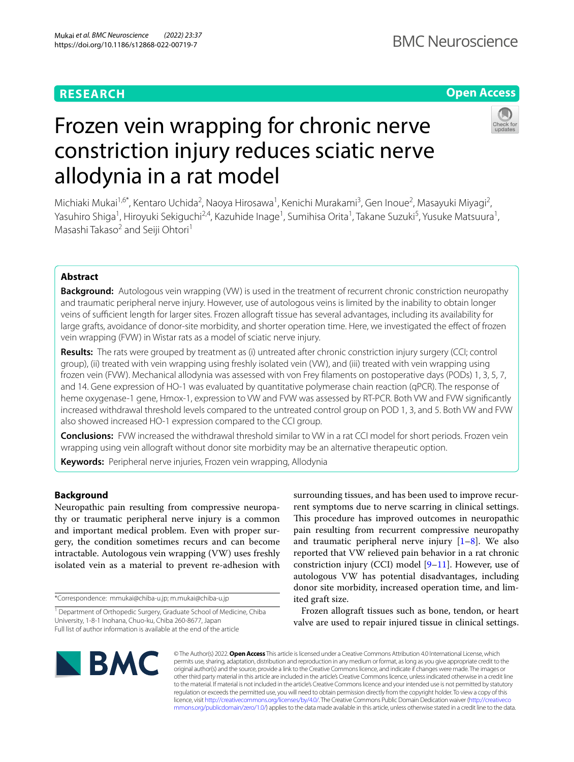# **RESEARCH**

# **Open Access**



# Frozen vein wrapping for chronic nerve constriction injury reduces sciatic nerve allodynia in a rat model

Michiaki Mukai<sup>1,6\*</sup>, Kentaro Uchida<sup>2</sup>, Naoya Hirosawa<sup>1</sup>, Kenichi Murakami<sup>3</sup>, Gen Inoue<sup>2</sup>, Masayuki Miyagi<sup>2</sup>, Yasuhiro Shiga<sup>1</sup>, Hiroyuki Sekiguchi<sup>2,4</sup>, Kazuhide Inage<sup>1</sup>, Sumihisa Orita<sup>1</sup>, Takane Suzuki<sup>5</sup>, Yusuke Matsuura<sup>1</sup>, Masashi Takaso<sup>2</sup> and Seiji Ohtori<sup>1</sup>

# **Abstract**

**Background:** Autologous vein wrapping (VW) is used in the treatment of recurrent chronic constriction neuropathy and traumatic peripheral nerve injury. However, use of autologous veins is limited by the inability to obtain longer veins of sufcient length for larger sites. Frozen allograft tissue has several advantages, including its availability for large grafts, avoidance of donor-site morbidity, and shorter operation time. Here, we investigated the efect of frozen vein wrapping (FVW) in Wistar rats as a model of sciatic nerve injury.

**Results:** The rats were grouped by treatment as (i) untreated after chronic constriction injury surgery (CCI; control group), (ii) treated with vein wrapping using freshly isolated vein (VW), and (iii) treated with vein wrapping using frozen vein (FVW). Mechanical allodynia was assessed with von Frey flaments on postoperative days (PODs) 1, 3, 5, 7, and 14. Gene expression of HO-1 was evaluated by quantitative polymerase chain reaction (qPCR). The response of heme oxygenase-1 gene, Hmox-1, expression to VW and FVW was assessed by RT-PCR. Both VW and FVW signifcantly increased withdrawal threshold levels compared to the untreated control group on POD 1, 3, and 5. Both VW and FVW also showed increased HO-1 expression compared to the CCI group.

**Conclusions:** FVW increased the withdrawal threshold similar to VW in a rat CCI model for short periods. Frozen vein wrapping using vein allograft without donor site morbidity may be an alternative therapeutic option.

**Keywords:** Peripheral nerve injuries, Frozen vein wrapping, Allodynia

# **Background**

Neuropathic pain resulting from compressive neuropathy or traumatic peripheral nerve injury is a common and important medical problem. Even with proper surgery, the condition sometimes recurs and can become intractable. Autologous vein wrapping (VW) uses freshly isolated vein as a material to prevent re-adhesion with

\*Correspondence: mmukai@chiba-u.jp; m.mukai@chiba-u.jp

surrounding tissues, and has been used to improve recurrent symptoms due to nerve scarring in clinical settings. This procedure has improved outcomes in neuropathic pain resulting from recurrent compressive neuropathy and traumatic peripheral nerve injury  $[1-8]$  $[1-8]$  $[1-8]$ . We also reported that VW relieved pain behavior in a rat chronic constriction injury (CCI) model  $[9-11]$  $[9-11]$ . However, use of autologous VW has potential disadvantages, including donor site morbidity, increased operation time, and limited graft size.

Frozen allograft tissues such as bone, tendon, or heart valve are used to repair injured tissue in clinical settings.



© The Author(s) 2022. **Open Access** This article is licensed under a Creative Commons Attribution 4.0 International License, which permits use, sharing, adaptation, distribution and reproduction in any medium or format, as long as you give appropriate credit to the original author(s) and the source, provide a link to the Creative Commons licence, and indicate if changes were made. The images or other third party material in this article are included in the article's Creative Commons licence, unless indicated otherwise in a credit line to the material. If material is not included in the article's Creative Commons licence and your intended use is not permitted by statutory regulation or exceeds the permitted use, you will need to obtain permission directly from the copyright holder. To view a copy of this licence, visit [http://creativecommons.org/licenses/by/4.0/.](http://creativecommons.org/licenses/by/4.0/) The Creative Commons Public Domain Dedication waiver ([http://creativeco](http://creativecommons.org/publicdomain/zero/1.0/) [mmons.org/publicdomain/zero/1.0/](http://creativecommons.org/publicdomain/zero/1.0/)) applies to the data made available in this article, unless otherwise stated in a credit line to the data.

<sup>&</sup>lt;sup>1</sup> Department of Orthopedic Surgery, Graduate School of Medicine, Chiba University, 1-8-1 Inohana, Chuo-ku, Chiba 260-8677, Japan Full list of author information is available at the end of the article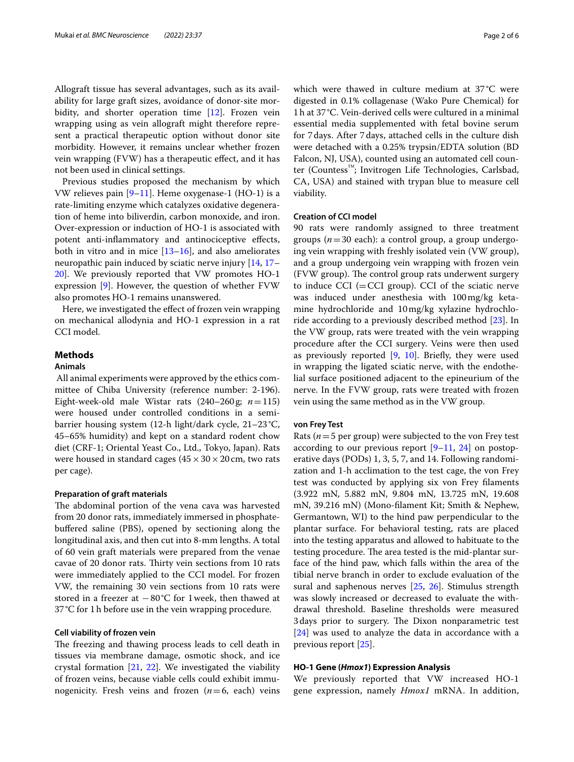Allograft tissue has several advantages, such as its availability for large graft sizes, avoidance of donor-site mor-bidity, and shorter operation time [\[12\]](#page-4-4). Frozen vein wrapping using as vein allograft might therefore represent a practical therapeutic option without donor site morbidity. However, it remains unclear whether frozen vein wrapping (FVW) has a therapeutic efect, and it has not been used in clinical settings.

Previous studies proposed the mechanism by which VW relieves pain [\[9–](#page-4-2)[11\]](#page-4-3). Heme oxygenase-1 (HO-1) is a rate-limiting enzyme which catalyzes oxidative degeneration of heme into biliverdin, carbon monoxide, and iron. Over-expression or induction of HO-1 is associated with potent anti-infammatory and antinociceptive efects, both in vitro and in mice  $[13–16]$  $[13–16]$  $[13–16]$  $[13–16]$ , and also ameliorates neuropathic pain induced by sciatic nerve injury [\[14](#page-4-7), [17–](#page-4-8) [20\]](#page-5-0). We previously reported that VW promotes HO-1 expression  $[9]$  $[9]$ . However, the question of whether  $FVW$ also promotes HO-1 remains unanswered.

Here, we investigated the efect of frozen vein wrapping on mechanical allodynia and HO-1 expression in a rat CCI model.

### **Methods**

# **Animals**

 All animal experiments were approved by the ethics committee of Chiba University (reference number: 2-196). Eight-week-old male Wistar rats (240–260g; *n*=115) were housed under controlled conditions in a semibarrier housing system (12-h light/dark cycle, 21–23 °C, 45–65% humidity) and kept on a standard rodent chow diet (CRF-1; Oriental Yeast Co., Ltd., Tokyo, Japan). Rats were housed in standard cages  $(45 \times 30 \times 20 \text{ cm})$ , two rats per cage).

# **Preparation of graft materials**

The abdominal portion of the vena cava was harvested from 20 donor rats, immediately immersed in phosphatebufered saline (PBS), opened by sectioning along the longitudinal axis, and then cut into 8-mm lengths. A total of 60 vein graft materials were prepared from the venae cavae of 20 donor rats. Thirty vein sections from 10 rats were immediately applied to the CCI model. For frozen VW, the remaining 30 vein sections from 10 rats were stored in a freezer at −80°C for 1week, then thawed at 37°C for 1h before use in the vein wrapping procedure.

#### **Cell viability of frozen vein**

The freezing and thawing process leads to cell death in tissues via membrane damage, osmotic shock, and ice crystal formation [[21,](#page-5-1) [22\]](#page-5-2). We investigated the viability of frozen veins, because viable cells could exhibit immunogenicity. Fresh veins and frozen  $(n=6, \text{ each})$  veins which were thawed in culture medium at 37 °C were digested in 0.1% collagenase (Wako Pure Chemical) for 1h at 37°C. Vein-derived cells were cultured in a minimal essential media supplemented with fetal bovine serum for 7days. After 7days, attached cells in the culture dish were detached with a 0.25% trypsin/EDTA solution (BD Falcon, NJ, USA), counted using an automated cell counter (Countess™; Invitrogen Life Technologies, Carlsbad, CA, USA) and stained with trypan blue to measure cell viability.

# **Creation of CCI model**

90 rats were randomly assigned to three treatment groups (*n*=30 each): a control group, a group undergoing vein wrapping with freshly isolated vein (VW group), and a group undergoing vein wrapping with frozen vein (FVW group). The control group rats underwent surgery to induce  $\text{CCI}$  (= $\text{CCI}$  group). CCI of the sciatic nerve was induced under anesthesia with 100mg/kg ketamine hydrochloride and 10mg/kg xylazine hydrochloride according to a previously described method [[23](#page-5-3)]. In the VW group, rats were treated with the vein wrapping procedure after the CCI surgery. Veins were then used as previously reported  $[9, 10]$  $[9, 10]$  $[9, 10]$ . Briefly, they were used in wrapping the ligated sciatic nerve, with the endothelial surface positioned adjacent to the epineurium of the nerve. In the FVW group, rats were treated with frozen vein using the same method as in the VW group.

# **von Frey Test**

Rats ( $n=5$  per group) were subjected to the von Frey test according to our previous report  $[9-11, 24]$  $[9-11, 24]$  $[9-11, 24]$  $[9-11, 24]$  on postoperative days (PODs) 1, 3, 5, 7, and 14. Following randomization and 1-h acclimation to the test cage, the von Frey test was conducted by applying six von Frey flaments (3.922 mN, 5.882 mN, 9.804 mN, 13.725 mN, 19.608 mN, 39.216 mN) (Mono-flament Kit; Smith & Nephew, Germantown, WI) to the hind paw perpendicular to the plantar surface. For behavioral testing, rats are placed into the testing apparatus and allowed to habituate to the testing procedure. The area tested is the mid-plantar surface of the hind paw, which falls within the area of the tibial nerve branch in order to exclude evaluation of the sural and saphenous nerves [\[25,](#page-5-5) [26\]](#page-5-6). Stimulus strength was slowly increased or decreased to evaluate the withdrawal threshold. Baseline thresholds were measured 3 days prior to surgery. The Dixon nonparametric test [[24\]](#page-5-4) was used to analyze the data in accordance with a previous report [[25](#page-5-5)].

# **HO‑1 Gene (***Hmox1***) Expression Analysis**

We previously reported that VW increased HO-1 gene expression, namely *Hmox1* mRNA. In addition,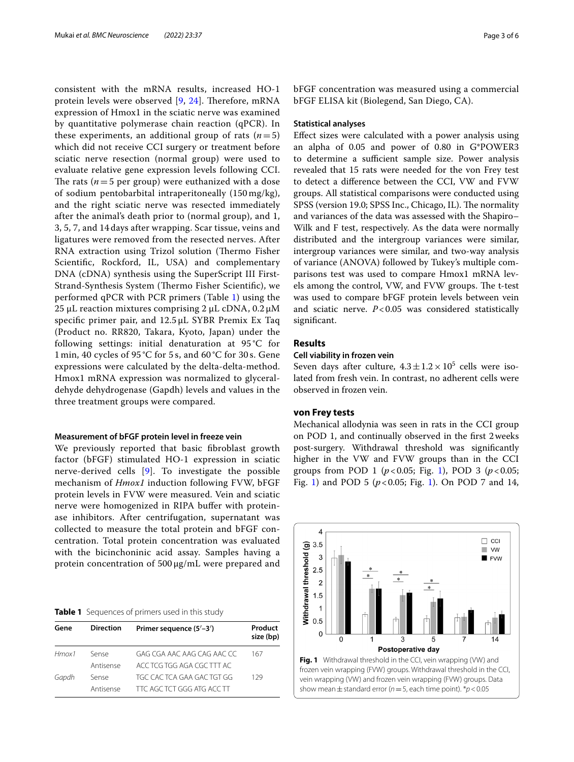consistent with the mRNA results, increased HO-1 protein levels were observed  $[9, 24]$  $[9, 24]$  $[9, 24]$  $[9, 24]$ . Therefore, mRNA expression of Hmox1 in the sciatic nerve was examined by quantitative polymerase chain reaction (qPCR). In these experiments, an additional group of rats  $(n=5)$ which did not receive CCI surgery or treatment before sciatic nerve resection (normal group) were used to evaluate relative gene expression levels following CCI. The rats  $(n=5$  per group) were euthanized with a dose of sodium pentobarbital intraperitoneally (150 mg/kg), and the right sciatic nerve was resected immediately after the animal's death prior to (normal group), and 1, 3, 5, 7, and 14 days after wrapping. Scar tissue, veins and ligatures were removed from the resected nerves. After RNA extraction using Trizol solution (Thermo Fisher Scientifc, Rockford, IL, USA) and complementary DNA (cDNA) synthesis using the SuperScript III First-Strand-Synthesis System (Thermo Fisher Scientific), we performed qPCR with PCR primers (Table [1\)](#page-2-0) using the 25 µL reaction mixtures comprising 2 µL cDNA,  $0.2 \mu M$ specifc primer pair, and 12.5 µL SYBR Premix Ex Taq (Product no. RR820, Takara, Kyoto, Japan) under the following settings: initial denaturation at 95 °C for 1 min, 40 cycles of 95 °C for 5 s, and 60 °C for 30 s. Gene expressions were calculated by the delta-delta-method. Hmox1 mRNA expression was normalized to glyceraldehyde dehydrogenase (Gapdh) levels and values in the three treatment groups were compared.

#### **Measurement of bFGF protein level in freeze vein**

We previously reported that basic fbroblast growth factor (bFGF) stimulated HO-1 expression in sciatic nerve-derived cells [\[9](#page-4-2)]. To investigate the possible mechanism of *Hmox1* induction following FVW, bFGF protein levels in FVW were measured. Vein and sciatic nerve were homogenized in RIPA bufer with proteinase inhibitors. After centrifugation, supernatant was collected to measure the total protein and bFGF concentration. Total protein concentration was evaluated with the bicinchoninic acid assay. Samples having a protein concentration of 500 µg/mL were prepared and

#### <span id="page-2-0"></span>**Table 1** Sequences of primers used in this study

| Gene        | <b>Direction</b> | Primer sequence (5'-3')    | Product<br>size (bp) |
|-------------|------------------|----------------------------|----------------------|
| $H$ mox $1$ | Sense            | GAG CGA AAC AAG CAG AAC CC | 167                  |
|             | Antisense        | ACC TCG TGG AGA CGC TTT AC |                      |
| Gapdh       | Sense            | TGC CACTCA GAA GACTGT GG   | 129                  |
|             | Antisense        | TTC AGC TCT GGG ATG ACC TT |                      |

bFGF concentration was measured using a commercial bFGF ELISA kit (Biolegend, San Diego, CA).

# **Statistical analyses**

Efect sizes were calculated with a power analysis using an alpha of 0.05 and power of 0.80 in G\*POWER3 to determine a sufficient sample size. Power analysis revealed that 15 rats were needed for the von Frey test to detect a diference between the CCI, VW and FVW groups. All statistical comparisons were conducted using SPSS (version 19.0; SPSS Inc., Chicago, IL). The normality and variances of the data was assessed with the Shapiro– Wilk and F test, respectively. As the data were normally distributed and the intergroup variances were similar, intergroup variances were similar, and two-way analysis of variance (ANOVA) followed by Tukey's multiple comparisons test was used to compare Hmox1 mRNA levels among the control, VW, and FVW groups. The t-test was used to compare bFGF protein levels between vein and sciatic nerve.  $P < 0.05$  was considered statistically signifcant.

# **Results**

#### **Cell viability in frozen vein**

Seven days after culture,  $4.3 \pm 1.2 \times 10^5$  cells were isolated from fresh vein. In contrast, no adherent cells were observed in frozen vein.

# **von Frey tests**

Mechanical allodynia was seen in rats in the CCI group on POD 1, and continually observed in the frst 2weeks post-surgery. Withdrawal threshold was signifcantly higher in the VW and FVW groups than in the CCI groups from POD [1](#page-2-1) ( $p < 0.05$ ; Fig. 1), POD 3 ( $p < 0.05$ ; Fig. [1](#page-2-1)) and POD 5 ( $p < 0.05$ ; Fig. 1). On POD 7 and 14,

<span id="page-2-1"></span>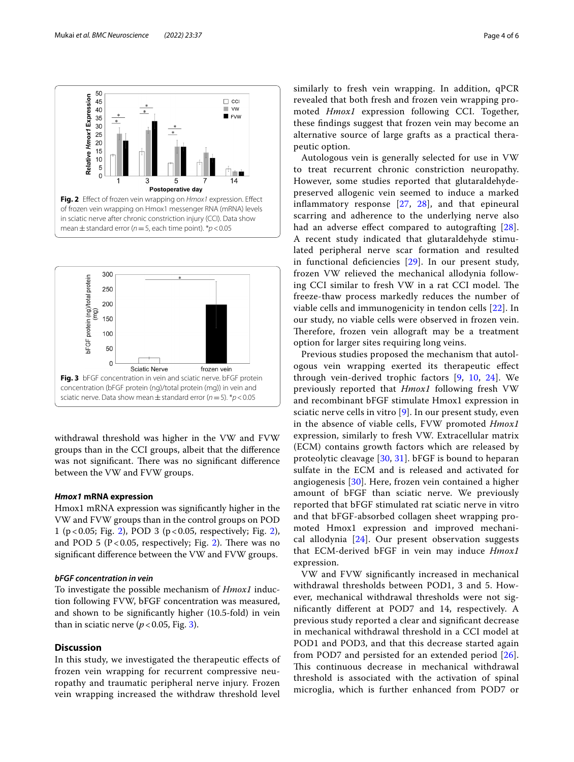

<span id="page-3-0"></span>

<span id="page-3-1"></span>withdrawal threshold was higher in the VW and FVW groups than in the CCI groups, albeit that the diference was not significant. There was no significant difference between the VW and FVW groups.

#### *Hmox1* **mRNA expression**

Hmox1 mRNA expression was signifcantly higher in the VW and FVW groups than in the control groups on POD 1 (p<0.05; Fig. [2](#page-3-0)), POD 3 (p<0.05, respectively; Fig. [2](#page-3-0)), and POD 5 ( $P < 0.05$ , respectively; Fig. [2](#page-3-0)). There was no signifcant diference between the VW and FVW groups.

#### *bFGF concentration in vein*

To investigate the possible mechanism of *Hmox1* induction following FVW, bFGF concentration was measured, and shown to be signifcantly higher (10.5-fold) in vein than in sciatic nerve ( $p < 0.05$ , Fig. [3\)](#page-3-1).

# **Discussion**

In this study, we investigated the therapeutic efects of frozen vein wrapping for recurrent compressive neuropathy and traumatic peripheral nerve injury. Frozen vein wrapping increased the withdraw threshold level similarly to fresh vein wrapping. In addition, qPCR revealed that both fresh and frozen vein wrapping promoted *Hmox1* expression following CCI. Together, these fndings suggest that frozen vein may become an alternative source of large grafts as a practical therapeutic option.

Autologous vein is generally selected for use in VW to treat recurrent chronic constriction neuropathy. However, some studies reported that glutaraldehydepreserved allogenic vein seemed to induce a marked infammatory response [[27,](#page-5-7) [28](#page-5-8)], and that epineural scarring and adherence to the underlying nerve also had an adverse effect compared to autografting [[28](#page-5-8)]. A recent study indicated that glutaraldehyde stimulated peripheral nerve scar formation and resulted in functional defciencies [[29\]](#page-5-9). In our present study, frozen VW relieved the mechanical allodynia following CCI similar to fresh VW in a rat CCI model. The freeze-thaw process markedly reduces the number of viable cells and immunogenicity in tendon cells [\[22](#page-5-2)]. In our study, no viable cells were observed in frozen vein. Therefore, frozen vein allograft may be a treatment option for larger sites requiring long veins.

Previous studies proposed the mechanism that autologous vein wrapping exerted its therapeutic efect through vein-derived trophic factors [\[9](#page-4-2), [10,](#page-4-9) [24](#page-5-4)]. We previously reported that *Hmox1* following fresh VW and recombinant bFGF stimulate Hmox1 expression in sciatic nerve cells in vitro [[9\]](#page-4-2). In our present study, even in the absence of viable cells, FVW promoted *Hmox1* expression, similarly to fresh VW. Extracellular matrix (ECM) contains growth factors which are released by proteolytic cleavage [[30,](#page-5-10) [31\]](#page-5-11). bFGF is bound to heparan sulfate in the ECM and is released and activated for angiogenesis [[30\]](#page-5-10). Here, frozen vein contained a higher amount of bFGF than sciatic nerve. We previously reported that bFGF stimulated rat sciatic nerve in vitro and that bFGF-absorbed collagen sheet wrapping promoted Hmox1 expression and improved mechanical allodynia [[24\]](#page-5-4). Our present observation suggests that ECM-derived bFGF in vein may induce *Hmox1* expression.

VW and FVW signifcantly increased in mechanical withdrawal thresholds between POD1, 3 and 5. However, mechanical withdrawal thresholds were not signifcantly diferent at POD7 and 14, respectively. A previous study reported a clear and signifcant decrease in mechanical withdrawal threshold in a CCI model at POD1 and POD3, and that this decrease started again from POD7 and persisted for an extended period [[26](#page-5-6)]. This continuous decrease in mechanical withdrawal threshold is associated with the activation of spinal microglia, which is further enhanced from POD7 or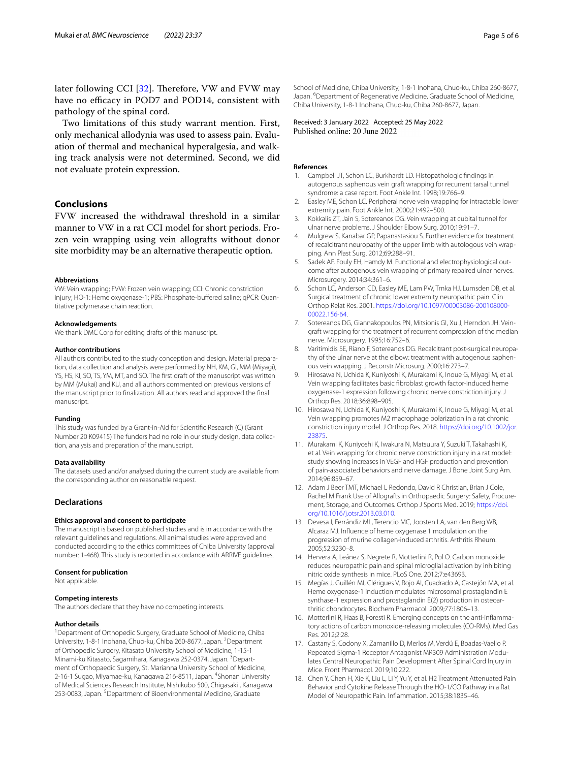later following CCI  $[32]$  $[32]$ . Therefore, VW and FVW may have no efficacy in POD7 and POD14, consistent with pathology of the spinal cord.

Two limitations of this study warrant mention. First, only mechanical allodynia was used to assess pain. Evaluation of thermal and mechanical hyperalgesia, and walking track analysis were not determined. Second, we did not evaluate protein expression.

# **Conclusions**

FVW increased the withdrawal threshold in a similar manner to VW in a rat CCI model for short periods. Frozen vein wrapping using vein allografts without donor site morbidity may be an alternative therapeutic option.

#### **Abbreviations**

VW: Vein wrapping; FVW: Frozen vein wrapping; CCI: Chronic constriction injury; HO-1: Heme oxygenase-1; PBS: Phosphate-buffered saline; qPCR: Quantitative polymerase chain reaction.

#### **Acknowledgements**

We thank DMC Corp for editing drafts of this manuscript.

#### **Author contributions**

All authors contributed to the study conception and design. Material preparation, data collection and analysis were performed by NH, KM, GI, MM (Miyagi), YS, HS, KI, SO, TS, YM, MT, and SO. The frst draft of the manuscript was written by MM (Mukai) and KU, and all authors commented on previous versions of the manuscript prior to fnalization. All authors read and approved the fnal manuscript.

#### **Funding**

This study was funded by a Grant-in-Aid for Scientifc Research (C) (Grant Number 20 K09415) The funders had no role in our study design, data collection, analysis and preparation of the manuscript.

#### **Data availability**

The datasets used and/or analysed during the current study are available from the corresponding author on reasonable request.

#### **Declarations**

#### **Ethics approval and consent to participate**

The manuscript is based on published studies and is in accordance with the relevant guidelines and regulations. All animal studies were approved and conducted according to the ethics committees of Chiba University (approval number: 1-468). This study is reported in accordance with ARRIVE guidelines.

#### **Consent for publication**

Not applicable.

#### **Competing interests**

The authors declare that they have no competing interests.

#### **Author details**

<sup>1</sup> Department of Orthopedic Surgery, Graduate School of Medicine, Chiba University, 1-8-1 Inohana, Chuo-ku, Chiba 260-8677, Japan. <sup>2</sup>Department of Orthopedic Surgery, Kitasato University School of Medicine, 1-15-1 Minami-ku Kitasato, Sagamihara, Kanagawa 252-0374, Japan. <sup>3</sup>Department of Orthopaedic Surgery, St. Marianna University School of Medicine, 2-16-1 Sugao, Miyamae-ku, Kanagawa 216-8511, Japan. <sup>4</sup>Shonan University of Medical Sciences Research Institute, Nishikubo 500, Chigasaki , Kanagawa 253-0083, Japan. <sup>5</sup>Department of Bioenvironmental Medicine, Graduate

School of Medicine, Chiba University, 1-8-1 Inohana, Chuo-ku, Chiba 260-8677, Japan. <sup>6</sup> Department of Regenerative Medicine, Graduate School of Medicine, Chiba University, 1-8-1 Inohana, Chuo-ku, Chiba 260-8677, Japan.

Received: 3 January 2022 Accepted: 25 May 2022 Published online: 20 June 2022

#### **References**

- <span id="page-4-0"></span>1. Campbell JT, Schon LC, Burkhardt LD. Histopathologic fndings in autogenous saphenous vein graft wrapping for recurrent tarsal tunnel syndrome: a case report. Foot Ankle Int. 1998;19:766–9.
- 2. Easley ME, Schon LC. Peripheral nerve vein wrapping for intractable lower extremity pain. Foot Ankle Int. 2000;21:492–500.
- 3. Kokkalis ZT, Jain S, Sotereanos DG. Vein wrapping at cubital tunnel for ulnar nerve problems. J Shoulder Elbow Surg. 2010;19:91–7.
- 4. Mulgrew S, Kanabar GP, Papanastasiou S. Further evidence for treatment of recalcitrant neuropathy of the upper limb with autologous vein wrapping. Ann Plast Surg. 2012;69:288–91.
- 5. Sadek AF, Fouly EH, Hamdy M. Functional and electrophysiological outcome after autogenous vein wrapping of primary repaired ulnar nerves. Microsurgery. 2014;34:361–6.
- 6. Schon LC, Anderson CD, Easley ME, Lam PW, Trnka HJ, Lumsden DB, et al. Surgical treatment of chronic lower extremity neuropathic pain. Clin Orthop Relat Res. 2001. [https://doi.org/10.1097/00003086-200108000-](https://doi.org/10.1097/00003086-200108000-00022.156-64) [00022.156-64.](https://doi.org/10.1097/00003086-200108000-00022.156-64)
- 7. Sotereanos DG, Giannakopoulos PN, Mitsionis GI, Xu J, Herndon JH. Veingraft wrapping for the treatment of recurrent compression of the median nerve. Microsurgery. 1995;16:752–6.
- <span id="page-4-1"></span>8. Varitimidis SE, Riano F, Sotereanos DG. Recalcitrant post-surgical neuropathy of the ulnar nerve at the elbow: treatment with autogenous saphenous vein wrapping. J Reconstr Microsurg. 2000;16:273–7.
- <span id="page-4-2"></span>9. Hirosawa N, Uchida K, Kuniyoshi K, Murakami K, Inoue G, Miyagi M, et al. Vein wrapping facilitates basic fbroblast growth factor-induced heme oxygenase-1 expression following chronic nerve constriction injury. J Orthop Res. 2018;36:898–905.
- <span id="page-4-9"></span>10. Hirosawa N, Uchida K, Kuniyoshi K, Murakami K, Inoue G, Miyagi M, et al. Vein wrapping promotes M2 macrophage polarization in a rat chronic constriction injury model. J Orthop Res. 2018. [https://doi.org/10.1002/jor.](https://doi.org/10.1002/jor.23875) [23875](https://doi.org/10.1002/jor.23875).
- <span id="page-4-3"></span>11. Murakami K, Kuniyoshi K, Iwakura N, Matsuura Y, Suzuki T, Takahashi K, et al. Vein wrapping for chronic nerve constriction injury in a rat model: study showing increases in VEGF and HGF production and prevention of pain-associated behaviors and nerve damage. J Bone Joint Surg Am. 2014;96:859–67.
- <span id="page-4-4"></span>12. Adam J Beer TMT, Michael L Redondo, David R Christian, Brian J Cole, Rachel M Frank Use of Allografts in Orthopaedic Surgery: Safety, Procurement, Storage, and Outcomes. Orthop J Sports Med. 2019; [https://doi.](https://doi.org/10.1016/j.otsr.2013.03.010) [org/10.1016/j.otsr.2013.03.010](https://doi.org/10.1016/j.otsr.2013.03.010).
- <span id="page-4-5"></span>13. Devesa I, Ferrándiz ML, Terencio MC, Joosten LA, van den Berg WB, Alcaraz MJ. Infuence of heme oxygenase 1 modulation on the progression of murine collagen-induced arthritis. Arthritis Rheum. 2005;52:3230–8.
- <span id="page-4-7"></span>14. Hervera A, Leánez S, Negrete R, Motterlini R, Pol O. Carbon monoxide reduces neuropathic pain and spinal microglial activation by inhibiting nitric oxide synthesis in mice. PLoS One. 2012;7:e43693.
- 15. Megías J, Guillén MI, Clérigues V, Rojo AI, Cuadrado A, Castejón MA, et al. Heme oxygenase-1 induction modulates microsomal prostaglandin E synthase-1 expression and prostaglandin E(2) production in osteoarthritic chondrocytes. Biochem Pharmacol. 2009;77:1806–13.
- <span id="page-4-6"></span>16. Motterlini R, Haas B, Foresti R. Emerging concepts on the anti-infammatory actions of carbon monoxide-releasing molecules (CO-RMs). Med Gas Res. 2012;2:28.
- <span id="page-4-8"></span>17. Castany S, Codony X, Zamanillo D, Merlos M, Verdú E, Boadas-Vaello P. Repeated Sigma-1 Receptor Antagonist MR309 Administration Modulates Central Neuropathic Pain Development After Spinal Cord Injury in Mice. Front Pharmacol. 2019;10:222.
- 18. Chen Y, Chen H, Xie K, Liu L, Li Y, Yu Y, et al. H2 Treatment Attenuated Pain Behavior and Cytokine Release Through the HO-1/CO Pathway in a Rat Model of Neuropathic Pain. Infammation. 2015;38:1835–46.